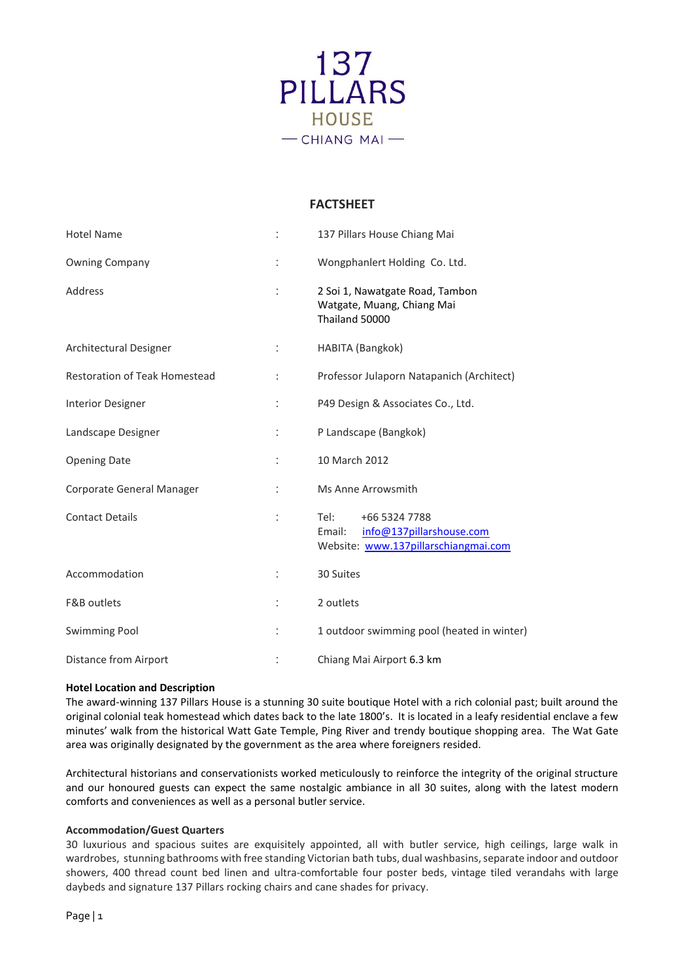

# **FACTSHEET**

| <b>Hotel Name</b>                    |                      | 137 Pillars House Chiang Mai                                                                        |
|--------------------------------------|----------------------|-----------------------------------------------------------------------------------------------------|
| <b>Owning Company</b>                | t                    | Wongphanlert Holding Co. Ltd.                                                                       |
| Address                              |                      | 2 Soi 1, Nawatgate Road, Tambon<br>Watgate, Muang, Chiang Mai<br>Thailand 50000                     |
| Architectural Designer               | ÷                    | HABITA (Bangkok)                                                                                    |
| <b>Restoration of Teak Homestead</b> | $\ddot{\phantom{a}}$ | Professor Julaporn Natapanich (Architect)                                                           |
| <b>Interior Designer</b>             | t                    | P49 Design & Associates Co., Ltd.                                                                   |
| Landscape Designer                   |                      | P Landscape (Bangkok)                                                                               |
| <b>Opening Date</b>                  | ÷                    | 10 March 2012                                                                                       |
| Corporate General Manager            | ÷                    | Ms Anne Arrowsmith                                                                                  |
| <b>Contact Details</b>               | t.                   | +66 5324 7788<br>Tel:<br>info@137pillarshouse.com<br>Email:<br>Website: www.137pillarschiangmai.com |
| Accommodation                        |                      | 30 Suites                                                                                           |
| <b>F&amp;B</b> outlets               |                      | 2 outlets                                                                                           |
| <b>Swimming Pool</b>                 |                      | 1 outdoor swimming pool (heated in winter)                                                          |
| <b>Distance from Airport</b>         |                      | Chiang Mai Airport 6.3 km                                                                           |

## **Hotel Location and Description**

The award-winning 137 Pillars House is a stunning 30 suite boutique Hotel with a rich colonial past; built around the original colonial teak homestead which dates back to the late 1800's. It is located in a leafy residential enclave a few minutes' walk from the historical Watt Gate Temple, Ping River and trendy boutique shopping area. The Wat Gate area was originally designated by the government as the area where foreigners resided.

Architectural historians and conservationists worked meticulously to reinforce the integrity of the original structure and our honoured guests can expect the same nostalgic ambiance in all 30 suites, along with the latest modern comforts and conveniences as well as a personal butler service.

## **Accommodation/Guest Quarters**

30 luxurious and spacious suites are exquisitely appointed, all with butler service, high ceilings, large walk in wardrobes, stunning bathrooms with free standing Victorian bath tubs, dual washbasins, separate indoor and outdoor showers, 400 thread count bed linen and ultra-comfortable four poster beds, vintage tiled verandahs with large daybeds and signature 137 Pillars rocking chairs and cane shades for privacy.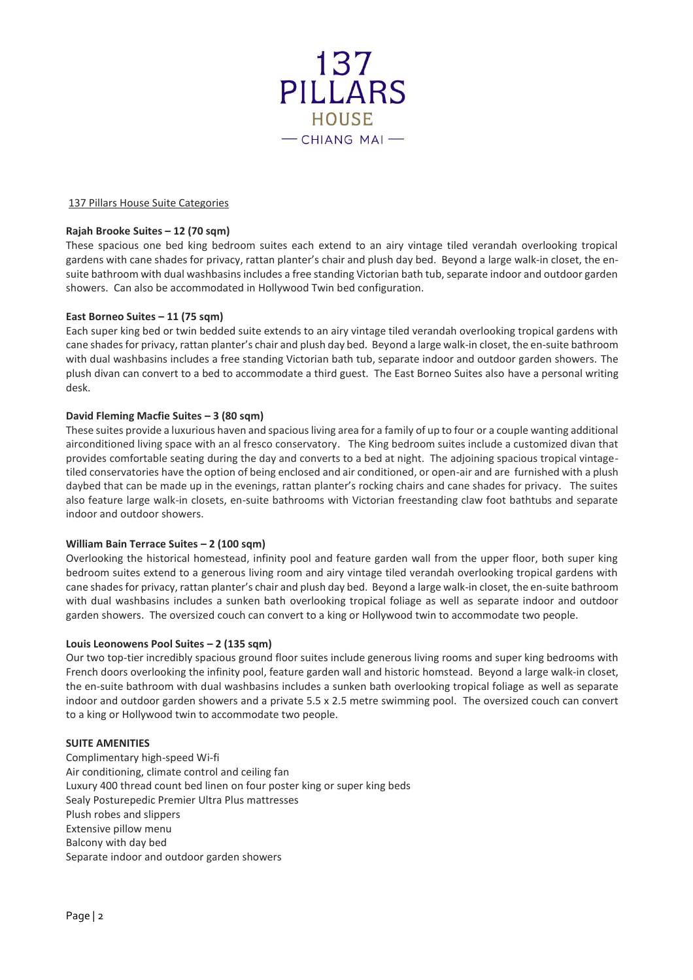

#### 137 Pillars House Suite Categories

## **Rajah Brooke Suites – 12 (70 sqm)**

These spacious one bed king bedroom suites each extend to an airy vintage tiled verandah overlooking tropical gardens with cane shades for privacy, rattan planter's chair and plush day bed. Beyond a large walk-in closet, the ensuite bathroom with dual washbasins includes a free standing Victorian bath tub, separate indoor and outdoor garden showers. Can also be accommodated in Hollywood Twin bed configuration.

### **East Borneo Suites – 11 (75 sqm)**

Each super king bed or twin bedded suite extends to an airy vintage tiled verandah overlooking tropical gardens with cane shades for privacy, rattan planter's chair and plush day bed. Beyond a large walk-in closet, the en-suite bathroom with dual washbasins includes a free standing Victorian bath tub, separate indoor and outdoor garden showers. The plush divan can convert to a bed to accommodate a third guest. The East Borneo Suites also have a personal writing desk.

### **David Fleming Macfie Suites – 3 (80 sqm)**

These suites provide a luxurious haven and spacious living area for a family of up to four or a couple wanting additional airconditioned living space with an al fresco conservatory. The King bedroom suites include a customized divan that provides comfortable seating during the day and converts to a bed at night. The adjoining spacious tropical vintagetiled conservatories have the option of being enclosed and air conditioned, or open-air and are furnished with a plush daybed that can be made up in the evenings, rattan planter's rocking chairs and cane shades for privacy. The suites also feature large walk-in closets, en-suite bathrooms with Victorian freestanding claw foot bathtubs and separate indoor and outdoor showers.

## **William Bain Terrace Suites – 2 (100 sqm)**

Overlooking the historical homestead, infinity pool and feature garden wall from the upper floor, both super king bedroom suites extend to a generous living room and airy vintage tiled verandah overlooking tropical gardens with cane shades for privacy, rattan planter's chair and plush day bed. Beyond a large walk-in closet, the en-suite bathroom with dual washbasins includes a sunken bath overlooking tropical foliage as well as separate indoor and outdoor garden showers. The oversized couch can convert to a king or Hollywood twin to accommodate two people.

#### **Louis Leonowens Pool Suites – 2 (135 sqm)**

Our two top-tier incredibly spacious ground floor suites include generous living rooms and super king bedrooms with French doors overlooking the infinity pool, feature garden wall and historic homstead. Beyond a large walk-in closet, the en-suite bathroom with dual washbasins includes a sunken bath overlooking tropical foliage as well as separate indoor and outdoor garden showers and a private 5.5 x 2.5 metre swimming pool. The oversized couch can convert to a king or Hollywood twin to accommodate two people.

## **SUITE AMENITIES**

Complimentary high-speed Wi-fi Air conditioning, climate control and ceiling fan Luxury 400 thread count bed linen on four poster king or super king beds Sealy Posturepedic Premier Ultra Plus mattresses Plush robes and slippers Extensive pillow menu Balcony with day bed Separate indoor and outdoor garden showers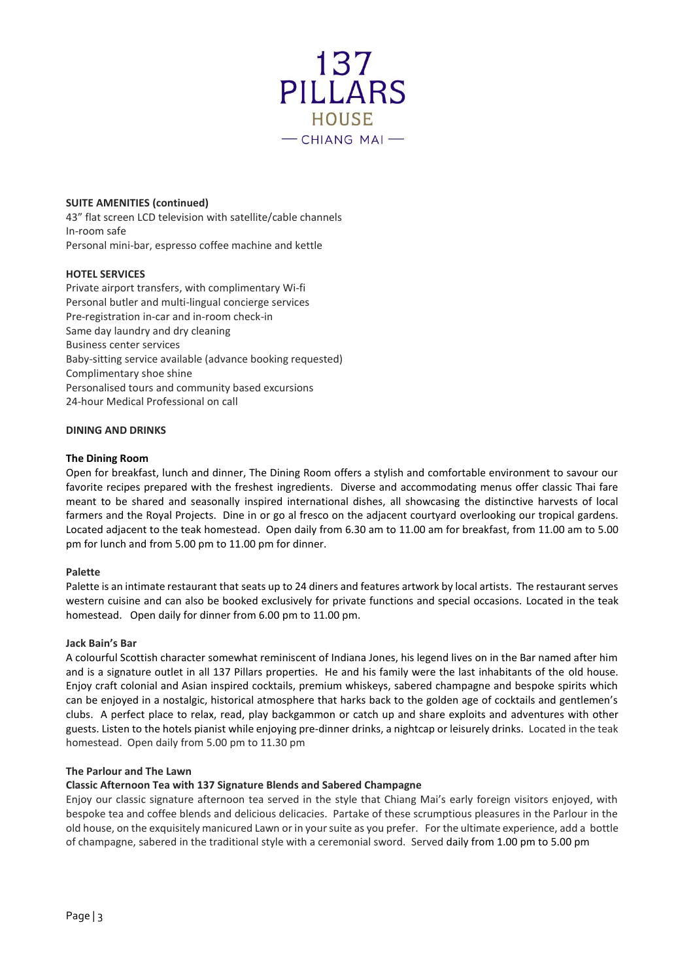

### **SUITE AMENITIES (continued)**

43" flat screen LCD television with satellite/cable channels In-room safe Personal mini-bar, espresso coffee machine and kettle

## **HOTEL SERVICES**

Private airport transfers, with complimentary Wi-fi Personal butler and multi-lingual concierge services Pre-registration in-car and in-room check-in Same day laundry and dry cleaning Business center services Baby-sitting service available (advance booking requested) Complimentary shoe shine Personalised tours and community based excursions 24-hour Medical Professional on call

### **DINING AND DRINKS**

#### **The Dining Room**

Open for breakfast, lunch and dinner, The Dining Room offers a stylish and comfortable environment to savour our favorite recipes prepared with the freshest ingredients. Diverse and accommodating menus offer classic Thai fare meant to be shared and seasonally inspired international dishes, all showcasing the distinctive harvests of local farmers and the Royal Projects. Dine in or go al fresco on the adjacent courtyard overlooking our tropical gardens. Located adjacent to the teak homestead. Open daily from 6.30 am to 11.00 am for breakfast, from 11.00 am to 5.00 pm for lunch and from 5.00 pm to 11.00 pm for dinner.

#### **Palette**

Palette is an intimate restaurant that seats up to 24 diners and features artwork by local artists. The restaurant serves western cuisine and can also be booked exclusively for private functions and special occasions. Located in the teak homestead. Open daily for dinner from 6.00 pm to 11.00 pm.

#### **Jack Bain's Bar**

A colourful Scottish character somewhat reminiscent of Indiana Jones, his legend lives on in the Bar named after him and is a signature outlet in all 137 Pillars properties. He and his family were the last inhabitants of the old house. Enjoy craft colonial and Asian inspired cocktails, premium whiskeys, sabered champagne and bespoke spirits which can be enjoyed in a nostalgic, historical atmosphere that harks back to the golden age of cocktails and gentlemen's clubs. A perfect place to relax, read, play backgammon or catch up and share exploits and adventures with other guests. Listen to the hotels pianist while enjoying pre-dinner drinks, a nightcap or leisurely drinks. Located in the teak homestead. Open daily from 5.00 pm to 11.30 pm

### **The Parlour and The Lawn**

#### **Classic Afternoon Tea with 137 Signature Blends and Sabered Champagne**

Enjoy our classic signature afternoon tea served in the style that Chiang Mai's early foreign visitors enjoyed, with bespoke tea and coffee blends and delicious delicacies. Partake of these scrumptious pleasures in the Parlour in the old house, on the exquisitely manicured Lawn or in your suite as you prefer. For the ultimate experience, add a bottle of champagne, sabered in the traditional style with a ceremonial sword. Served daily from 1.00 pm to 5.00 pm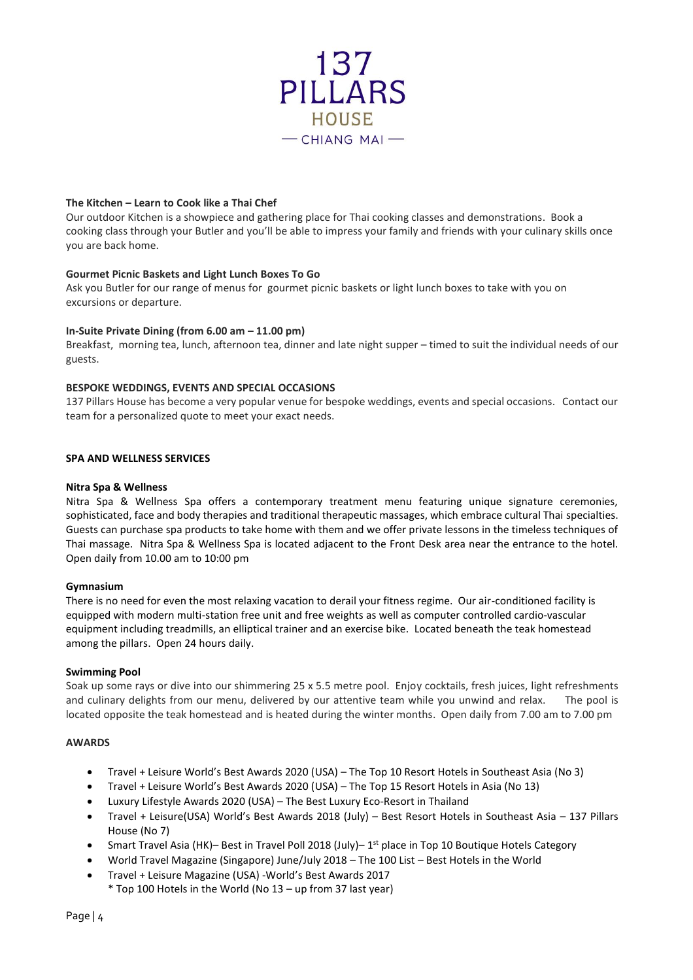

## **The Kitchen – Learn to Cook like a Thai Chef**

Our outdoor Kitchen is a showpiece and gathering place for Thai cooking classes and demonstrations. Book a cooking class through your Butler and you'll be able to impress your family and friends with your culinary skills once you are back home.

## **Gourmet Picnic Baskets and Light Lunch Boxes To Go**

Ask you Butler for our range of menus for gourmet picnic baskets or light lunch boxes to take with you on excursions or departure.

### **In-Suite Private Dining (from 6.00 am – 11.00 pm)**

Breakfast, morning tea, lunch, afternoon tea, dinner and late night supper – timed to suit the individual needs of our guests.

### **BESPOKE WEDDINGS, EVENTS AND SPECIAL OCCASIONS**

137 Pillars House has become a very popular venue for bespoke weddings, events and special occasions. Contact our team for a personalized quote to meet your exact needs.

### **SPA AND WELLNESS SERVICES**

### **Nitra Spa & Wellness**

Nitra Spa & Wellness Spa offers a contemporary treatment menu featuring unique signature ceremonies, sophisticated, face and body therapies and traditional therapeutic massages, which embrace cultural Thai specialties. Guests can purchase spa products to take home with them and we offer private lessons in the timeless techniques of Thai massage. Nitra Spa & Wellness Spa is located adjacent to the Front Desk area near the entrance to the hotel. Open daily from 10.00 am to 10:00 pm

## **Gymnasium**

There is no need for even the most relaxing vacation to derail your fitness regime. Our air-conditioned facility is equipped with modern multi-station free unit and free weights as well as computer controlled cardio-vascular equipment including treadmills, an elliptical trainer and an exercise bike. Located beneath the teak homestead among the pillars. Open 24 hours daily.

#### **Swimming Pool**

Soak up some rays or dive into our shimmering 25 x 5.5 metre pool. Enjoy cocktails, fresh juices, light refreshments and culinary delights from our menu, delivered by our attentive team while you unwind and relax. The pool is located opposite the teak homestead and is heated during the winter months. Open daily from 7.00 am to 7.00 pm

#### **AWARDS**

- Travel + Leisure World's Best Awards 2020 (USA) The Top 10 Resort Hotels in Southeast Asia (No 3)
- Travel + Leisure World's Best Awards 2020 (USA) The Top 15 Resort Hotels in Asia (No 13)
- Luxury Lifestyle Awards 2020 (USA) The Best Luxury Eco-Resort in Thailand
- Travel + Leisure(USA) World's Best Awards 2018 (July) Best Resort Hotels in Southeast Asia 137 Pillars House (No 7)
- Smart Travel Asia (HK)– Best in Travel Poll 2018 (July)– 1<sup>st</sup> place in Top 10 Boutique Hotels Category
- World Travel Magazine (Singapore) June/July 2018 The 100 List Best Hotels in the World
- Travel + Leisure Magazine (USA) -World's Best Awards 2017 \* Top 100 Hotels in the World (No 13 – up from 37 last year)